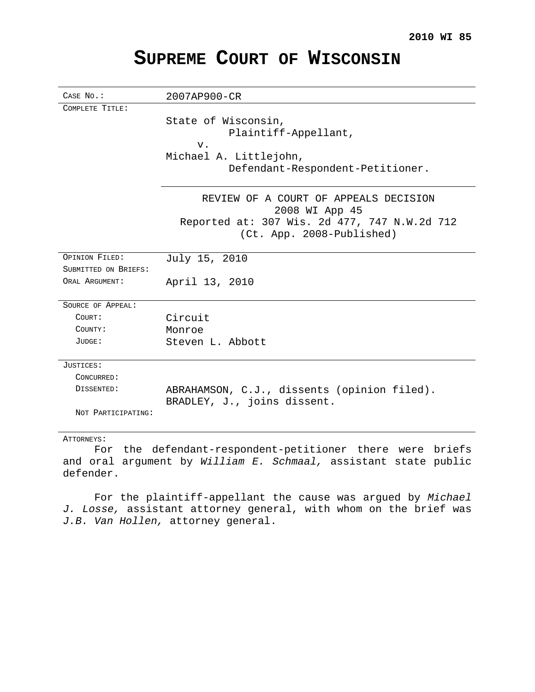# **SUPREME COURT OF WISCONSIN**

| CASE No.:            | 2007AP900-CR                                                              |
|----------------------|---------------------------------------------------------------------------|
| COMPLETE TITLE:      |                                                                           |
|                      | State of Wisconsin,                                                       |
|                      | Plaintiff-Appellant,                                                      |
|                      | v.                                                                        |
|                      | Michael A. Littlejohn,                                                    |
|                      | Defendant-Respondent-Petitioner.                                          |
|                      | REVIEW OF A COURT OF APPEALS DECISION<br>2008 WI App 45                   |
|                      | Reported at: 307 Wis. 2d 477, 747 N.W.2d 712<br>(Ct. App. 2008-Published) |
| OPINION FILED:       | July 15, 2010                                                             |
| SUBMITTED ON BRIEFS: |                                                                           |
| ORAL ARGUMENT:       | April 13, 2010                                                            |
| SOURCE OF APPEAL:    |                                                                           |
| COURT:               | Circuit                                                                   |
| COUNTY:              | Monroe                                                                    |
| JUDGE:               | Steven L. Abbott                                                          |
| JUSTICES:            |                                                                           |
| CONCURRED:           |                                                                           |
| DISSENTED:           | ABRAHAMSON, C.J., dissents (opinion filed).                               |
|                      | BRADLEY, J., joins dissent.                                               |
| NOT PARTICIPATING:   |                                                                           |

## ATTORNEYS:

For the defendant-respondent-petitioner there were briefs and oral argument by William E. Schmaal, assistant state public defender.

For the plaintiff-appellant the cause was argued by Michael J. Losse, assistant attorney general, with whom on the brief was J.B. Van Hollen, attorney general.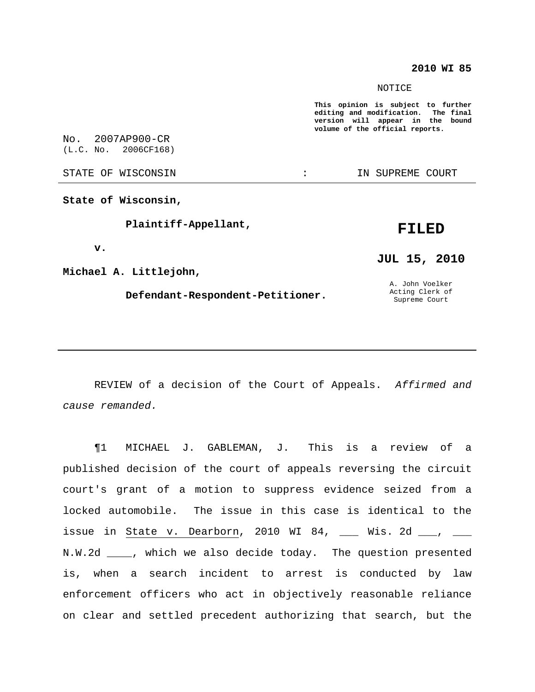### **2010 WI 85**

#### NOTICE

**This opinion is subject to further editing and modification. The final version will appear in the bound volume of the official reports.**

No. 2007AP900-CR (L.C. No. 2006CF168)

STATE OF WISCONSIN THE RESERVE STATE OF WISCONSIN STATE OF THE SUPREME COURT

**State of Wisconsin,**

**Plaintiff-Appellant,**

#### **v.**

**Michael A. Littlejohn,**

## **Defendant-Respondent-Petitioner.**

A. John Voelker Acting Clerk of Supreme Court

**JUL 15, 2010**

**FILED**

REVIEW of a decision of the Court of Appeals. Affirmed and cause remanded.

¶1 MICHAEL J. GABLEMAN, J. This is a review of a published decision of the court of appeals reversing the circuit court's grant of a motion to suppress evidence seized from a locked automobile. The issue in this case is identical to the issue in State v. Dearborn, 2010 WI 84,  $\_\_\_\$  Wis. 2d  $\_\_\_\prime$ N.W.2d \_\_\_\_, which we also decide today. The question presented is, when a search incident to arrest is conducted by law enforcement officers who act in objectively reasonable reliance on clear and settled precedent authorizing that search, but the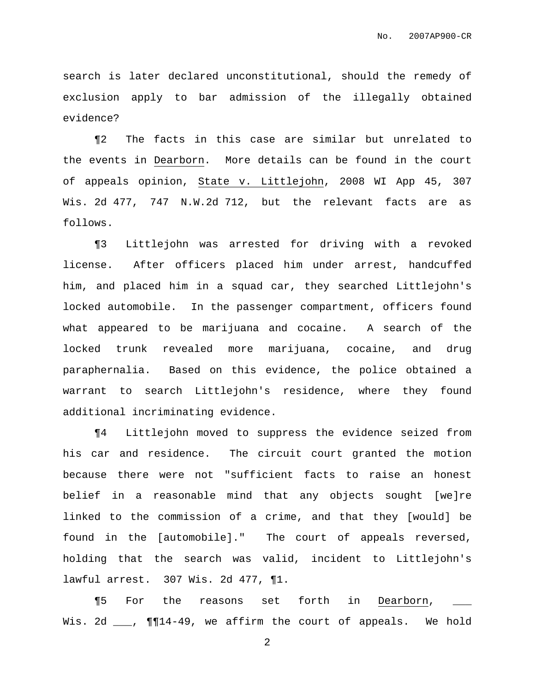search is later declared unconstitutional, should the remedy of exclusion apply to bar admission of the illegally obtained evidence?

¶2 The facts in this case are similar but unrelated to the events in Dearborn. More details can be found in the court of appeals opinion, State v. Littlejohn, 2008 WI App 45, 307 Wis. 2d 477, 747 N.W.2d 712, but the relevant facts are as follows.

¶3 Littlejohn was arrested for driving with a revoked license. After officers placed him under arrest, handcuffed him, and placed him in a squad car, they searched Littlejohn's locked automobile. In the passenger compartment, officers found what appeared to be marijuana and cocaine. A search of the locked trunk revealed more marijuana, cocaine, and drug paraphernalia. Based on this evidence, the police obtained a warrant to search Littlejohn's residence, where they found additional incriminating evidence.

¶4 Littlejohn moved to suppress the evidence seized from his car and residence. The circuit court granted the motion because there were not "sufficient facts to raise an honest belief in a reasonable mind that any objects sought [we]re linked to the commission of a crime, and that they [would] be found in the [automobile]." The court of appeals reversed, holding that the search was valid, incident to Littlejohn's lawful arrest. 307 Wis. 2d 477, ¶1.

¶5 For the reasons set forth in Dearborn, \_\_\_ Wis. 2d \_\_\_, ¶¶14-49, we affirm the court of appeals. We hold

2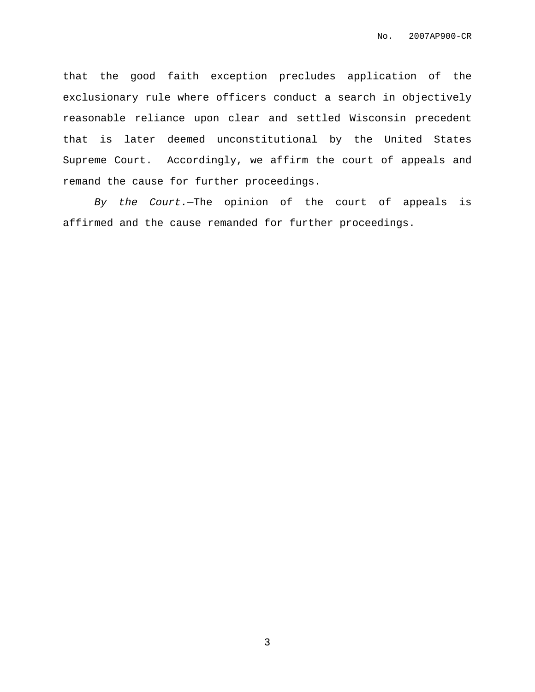that the good faith exception precludes application of the exclusionary rule where officers conduct a search in objectively reasonable reliance upon clear and settled Wisconsin precedent that is later deemed unconstitutional by the United States Supreme Court. Accordingly, we affirm the court of appeals and remand the cause for further proceedings.

By the Court.—The opinion of the court of appeals is affirmed and the cause remanded for further proceedings.

3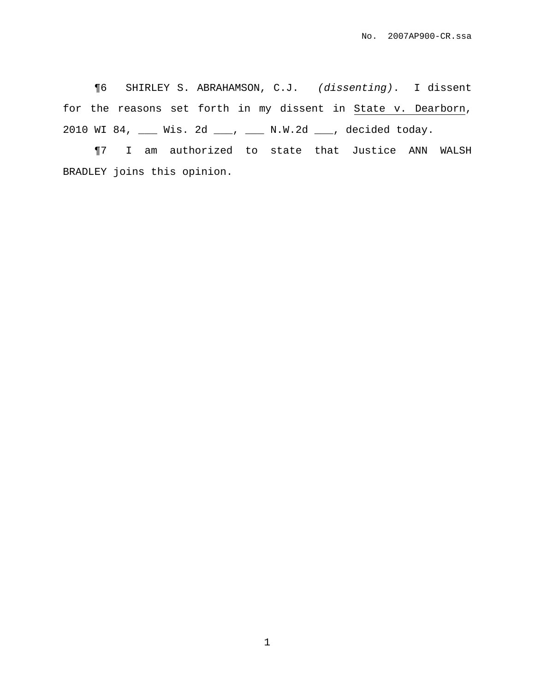¶6 SHIRLEY S. ABRAHAMSON, C.J. (dissenting). I dissent for the reasons set forth in my dissent in State v. Dearborn, 2010 WI 84, \_\_\_ Wis. 2d \_\_\_, \_\_\_ N.W.2d \_\_\_, decided today.

¶7 I am authorized to state that Justice ANN WALSH BRADLEY joins this opinion.